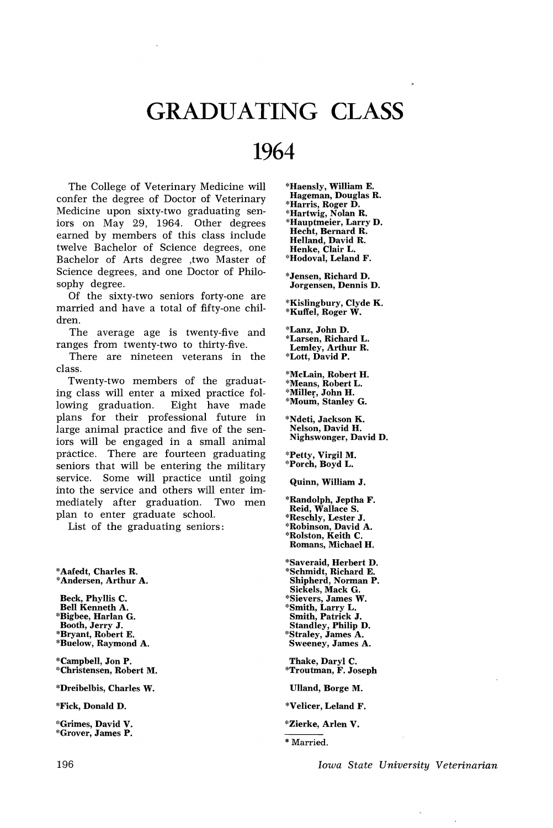## GRADUATING CLASS

## 1964

The College of Veterinary Medicine will confer the degree of Doctor of Veterinary Medicine upon sixty-two graduating seniors on May 29, 1964. Other degrees earned by members of this class include twelve Bachelor of Science degrees, one Bachelor of Arts degree ,two Master of Science degrees, and one Doctor of Philosophy degree.

Of the sixty-two seniors forty-one are married and have a total of fifty-one children.

The average age is twenty-five and ranges from twenty-two to thirty-five.

There are nineteen veterans in the class.

Twenty-two members of the graduating class will enter a mixed practice following graduation. Eight have made plans for their professional future in large animal practice and five of the seniors will be engaged in a small animal practice. There are fourteen graduating seniors that will be entering the military service. Some will practice until going into the service and others will enter immediately after graduation. Two men plan to enter graduate school.

List of the graduating seniors:

\*Aafedt, Charles R. \*Andersen, Arthur A.

Beck, Phyllis C. Bell Kenneth A. \*Bigbee, Harlan G. Booth, Jerry J. \*Bryant, Robert E. \*Buelow, Raymond A.

\*Campbell, Jon P. \*Christensen, Robert M.

\*Dreibelbis, Charles W.

\*Fick, Donald D.

\*Grimes, David V. \*Grover, James P. \*Haensly, William E. Hageman, Douglas R. \*Harris, Roger D. \*Hartwig, Nolan R. \*Hauptmeier, Larry D. Hecht, Bernard R. Helland, David R. Henke, Clair L. \*Hodoval, Leland F.

\*Jensen, Richard D. Jorgensen, Dennis D.

\*Kislingbury, Clyde K. \*Kuffel, Roger W.

\*Lanz, JohnD. \*Larsen, Richard L. Lemley, Arthur R. \*Lott, David P.

\*McLain, Robert H. \*Means, Robert L. \*Miller, John H. \*Moum, Stanley G.

\*Ndeti, Jackson K. Nelson, David H. Nighswonger, David D.

\*Petty, Virgil M. \*Porch, Boyd L.

Quinn, William J.

\*Randolph, Jeptha F. Reid, Wallace S. \*Reschly, Lester J. \*Robinson, David A. \*Rolston, Keith C. Romans, Michael H.

\*Saveraid, Herbert D. \*Schmidt, Richard E. Shipherd, Norman P. Sickels, Mack G. \*Sievers, James W. \*Smith, Larry L. Smith, Patrick J. Standley, Philip D. \*Straley, James A. Sweeney, James A.

Thake, Daryl C. \*Troutman, F. Joseph

Ulland, Borge M.

- \*Velicer, Leland F.
- \*Zierke, Arlen V.

\* Married.

*Iowa State University Veterinarian*